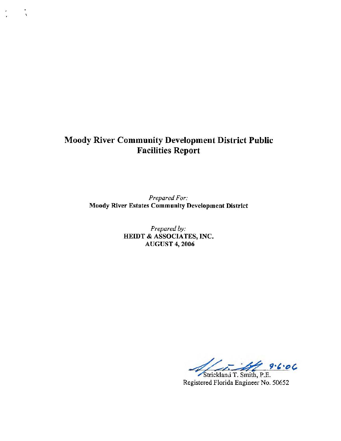# **Moody River Community Development District Public Facilities Report**

 $\mathbf{A}$ 

*Prepared For:*  **Moody River Estates Community Development District** 

> *Prepared by:*  **HEIDT** & **ASSOCIATES, INC. AUGUST** 4, **2006**

 $9.6.06$ 

Strickland T. Smith, P.E. Registered Florida Engineer No. 50652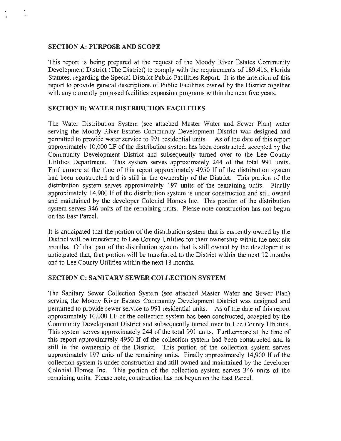## **SECTION A: PURPOSE AND SCOPE**

This report is being prepared at the request of the Moody River Estates Community Development District (The District) to comply with the requirements of 189 .415, Florida Statutes, regarding the Special District Public Facilities Report. It is the intention of this report to provide general descriptions of Public Facilities owned by the District together with any currently proposed facilities expansion programs within the next five years.

## **SECTION B: WATER DISTRIBUTION FACILITIES**

The Water Distribution System (see attached Master Water and Sewer Plan) water serving the Moody River Estates Community Development District was designed and permitted to provide water service to 991 residential units. As of the date of this report approximately  $10,000$  LF of the distribution system has been constructed, accepted by the Community Development District and subsequently turned over to the Lee County Utilities Department. This system serves approximately 244 of the total 991 units. Furthermore at the time of this report approximately 4950 If of the distribution system had been constructed and is still in the ownership of the District. This portion of the distribution system serves approximately 197 units of the remaining units. Finally approximately 14,900 If of the distribution system is under construction and still owned and maintained by the developer Colonial Homes Inc. This portion of the distribution system serves 346 units of the remaining units. Please note construction has not begun on the East Parcel.

It is anticipated that the portion of the distribution system that is currently owned by the District will be transferred to Lee County Utilities for their ownership within the next six months. Of that part of the distribution system that is still owned by the developer it is anticipated that, that portion will be transferred to the District within the next 12 months and to Lee County Utilities within the next 18 months.

## **SECTION C: SANITARY SEWER COLLECTION SYSTEM**

The Sanitary Sewer Collection System (see attached Master Water and Sewer Plan) serving the Moody River Estates Community Development District was designed and permitted to provide sewer service to 991 residential units. As of the date of this report approximately 10,000 LF of the collection system has been constructed, accepted by the Community Development District and subsequently turned over to Lee County Utilities. This system serves approximately 244 of the total 991 units. Furthermore at the time of this report approximately 4950 If of the collection system had been constructed and is still in the ownership of the District. This portion of the collection system serves approximately 197 units of the remaining units. Finally approximately 14,900 lf of the collection system is under construction and still owned and maintained by the developer Colonial Homes Inc. This portion of the collection system serves 346 units of the remaining units. Please note, construction has not begun on the East Parcel.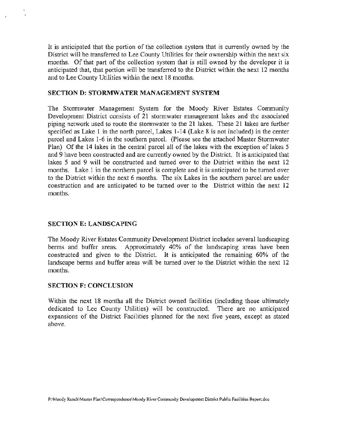It is anticipated that the portion of the collection system that is currently owned by the District will be transferred to Lee County Utilities for their ownership within the next six months. Of that part of the collection system that is still owned by the developer it is anticipated that, that portion will be transferred to the District within the next 12 months and to Lee County Utilities within the next 18 months.

#### **SECTION D: STORMWATER MANAGEMENT SYSTEM**

The Stormwater Management System for the Moody River Estates Community Development District consists of 21 stormwater management lakes and the associated piping network used to route the stormwater to the 21 lakes. These 21 lakes are further specified as Lake 1 in the north parcel, Lakes 1-14 (Lake 8 is not included) in the center parcel and Lakes 1-6 in the southern parcel. (Please see the attached Master Stormwater Plan) Of the 14 lakes in the central parcel all of the lakes with the exception of lakes 5 and 9 have been constructed and are currently owned by the District. It is anticipated that lakes 5 and 9 will be constructed and turned over to the District within the next 12 months. Lake 1 in the northern parcel is complete and it is anticipated to be turned over to the District within the next 6 months. The six Lakes in the southern parcel are under construction and are anticipated to be turned over to the District within the next 12 months.

#### **SECTION** E: **LANDSCAPING**

The Moody River Estates Community Development District includes several landscaping benns and buffer areas. Approximately 40% of the landscaping areas have been constructed and given to the District. It is anticipated the remaining 60% of the landscape berms and buffer areas will be turned over to the District within the next 12 months.

#### **SECTION F: CONCLUSION**

Within the next 18 months all the District owned facilities (including those ultimately dedicated to Lee County Utilities) will be constructed. There are no anticipated expansions of the District Facilities planned for the next five years, except as stated above.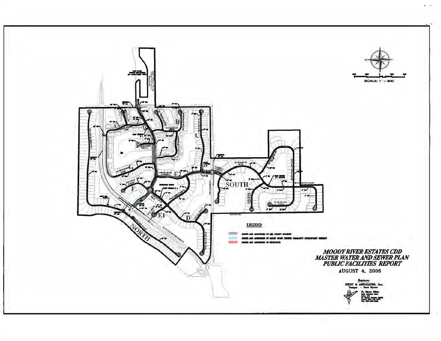